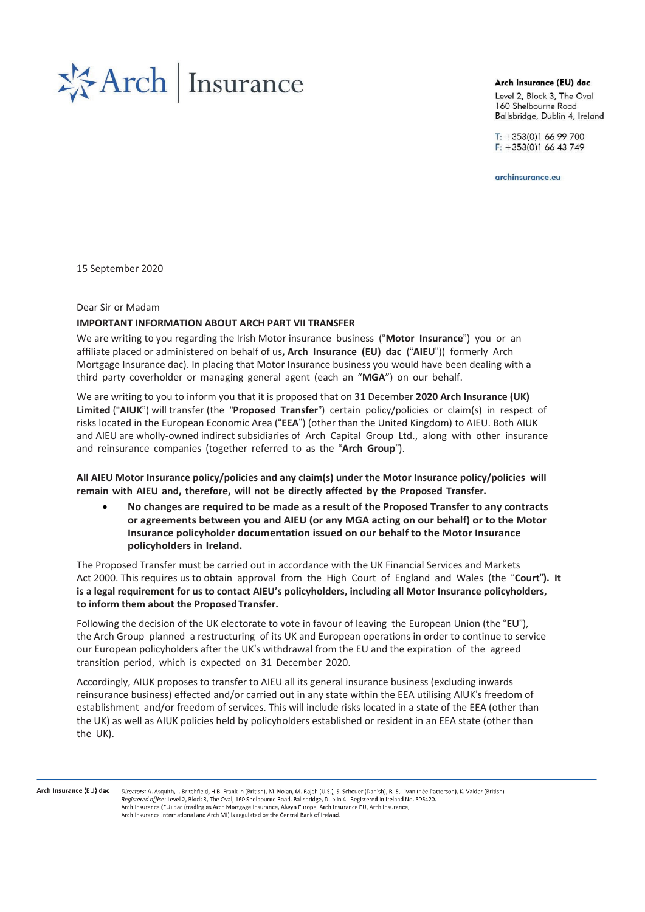

#### Arch Insurance (EU) dac

Level 2, Block 3, The Oval 160 Shelbourne Road Ballsbridge, Dublin 4, Ireland

 $T: +353(0)16699700$  $F: +353(0)16643749$ 

archinsurance.eu

15 September 2020

#### Dear Sir or Madam

## **IMPORTANT INFORMATION ABOUT ARCH PART VII TRANSFER**

We are writing to you regarding the Irish Motor insurance business ("**Motor Insurance**") you or an affiliate placed or administered on behalf of us**, Arch Insurance (EU) dac** ("**AIEU**")( formerly Arch Mortgage Insurance dac). In placing that Motor Insurance business you would have been dealing with a third party coverholder or managing general agent (each an "**MGA**") on our behalf.

We are writing to you to inform you that it is proposed that on 31 December **2020 Arch Insurance (UK) Limited** ("**AIUK**") will transfer (the "**Proposed Transfer**") certain policy/policies or claim(s) in respect of risks located in the European Economic Area ("**EEA**") (other than the United Kingdom) to AIEU. Both AIUK and AIEU are wholly-owned indirect subsidiaries of Arch Capital Group Ltd., along with other insurance and reinsurance companies (together referred to as the "**Arch Group**").

**All AIEU Motor Insurance policy/policies and any claim(s) under the Motor Insurance policy/policies will remain with AIEU and, therefore, will not be directly affected by the Proposed Transfer.**

• **No changes are required to be made as a result of the Proposed Transfer to any contracts or agreements between you and AIEU (or any MGA acting on our behalf) or to the Motor Insurance policyholder documentation issued on our behalf to the Motor Insurance policyholders in Ireland.**

The Proposed Transfer must be carried out in accordance with the UK Financial Services and Markets Act 2000. This requires us to obtain approval from the High Court of England and Wales (the "**Court**"**). It is a legal requirement for us to contact AIEU's policyholders, including all Motor Insurance policyholders, to inform them about the ProposedTransfer.**

Following the decision of the UK electorate to vote in favour of leaving the European Union (the "**EU**"), the Arch Group planned a restructuring of its UK and European operations in order to continue to service our European policyholders after the UK's withdrawal from the EU and the expiration of the agreed transition period, which is expected on 31 December 2020.

Accordingly, AIUK proposes to transfer to AIEU all its general insurance business (excluding inwards reinsurance business) effected and/or carried out in any state within the EEA utilising AIUK's freedom of establishment and/or freedom of services. This will include risks located in a state of the EEA (other than the UK) as well as AIUK policies held by policyholders established or resident in an EEA state (other than the UK).

Arch Insurance (EU) dac

Directors: A. Asquith, J. Britchfield, H.B. Franklin (British), M. Nolan, M. Rajeb (U.S.), S. Scheuer (Danish), R. Sullivan (née Patterson), K. Valder (British) Registered office: Level 2, Block 3, The Oval, 160 Shelbourne Road, Ballsbridge, Dublin 4. Registered in Ireland No. 505420. Arch Insurance (EU) dac (trading as Arch Mortgage Insurance, Alwyn Europe, Arch Insurance EU, Arch Insurance, Arch Insurance International and Arch MI) is regulated by the Central Bank of Ireland.